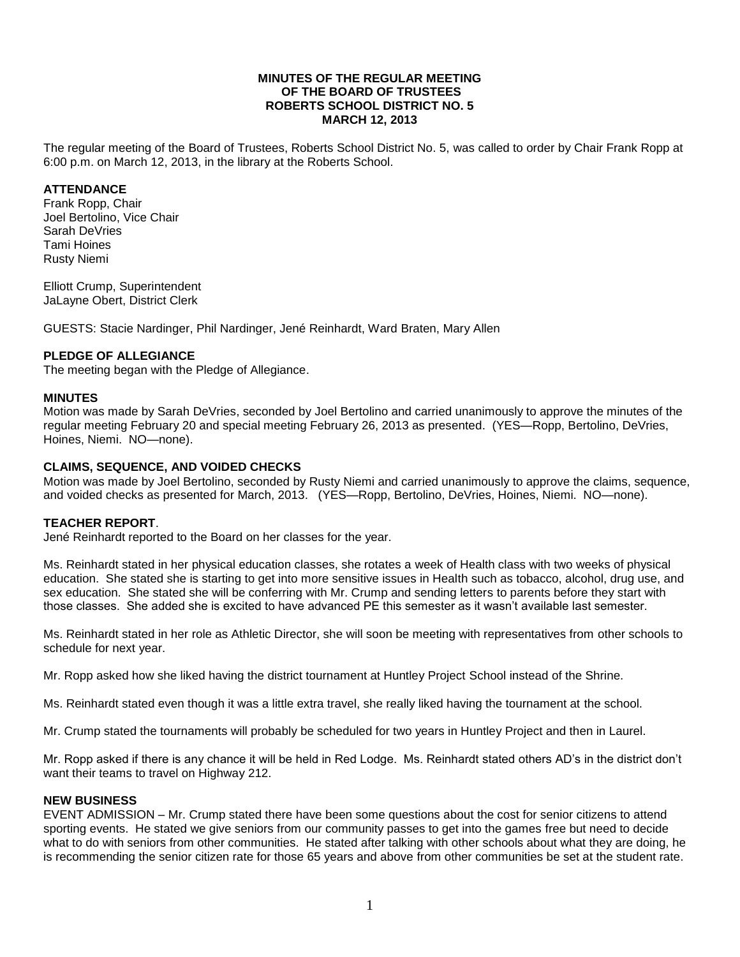#### **MINUTES OF THE REGULAR MEETING OF THE BOARD OF TRUSTEES ROBERTS SCHOOL DISTRICT NO. 5 MARCH 12, 2013**

The regular meeting of the Board of Trustees, Roberts School District No. 5, was called to order by Chair Frank Ropp at 6:00 p.m. on March 12, 2013, in the library at the Roberts School.

#### **ATTENDANCE**

Frank Ropp, Chair Joel Bertolino, Vice Chair Sarah DeVries Tami Hoines Rusty Niemi

Elliott Crump, Superintendent JaLayne Obert, District Clerk

GUESTS: Stacie Nardinger, Phil Nardinger, Jené Reinhardt, Ward Braten, Mary Allen

#### **PLEDGE OF ALLEGIANCE**

The meeting began with the Pledge of Allegiance.

#### **MINUTES**

Motion was made by Sarah DeVries, seconded by Joel Bertolino and carried unanimously to approve the minutes of the regular meeting February 20 and special meeting February 26, 2013 as presented. (YES—Ropp, Bertolino, DeVries, Hoines, Niemi. NO—none).

#### **CLAIMS, SEQUENCE, AND VOIDED CHECKS**

Motion was made by Joel Bertolino, seconded by Rusty Niemi and carried unanimously to approve the claims, sequence, and voided checks as presented for March, 2013. (YES—Ropp, Bertolino, DeVries, Hoines, Niemi. NO—none).

#### **TEACHER REPORT**.

Jené Reinhardt reported to the Board on her classes for the year.

Ms. Reinhardt stated in her physical education classes, she rotates a week of Health class with two weeks of physical education. She stated she is starting to get into more sensitive issues in Health such as tobacco, alcohol, drug use, and sex education. She stated she will be conferring with Mr. Crump and sending letters to parents before they start with those classes. She added she is excited to have advanced PE this semester as it wasn't available last semester.

Ms. Reinhardt stated in her role as Athletic Director, she will soon be meeting with representatives from other schools to schedule for next year.

Mr. Ropp asked how she liked having the district tournament at Huntley Project School instead of the Shrine.

Ms. Reinhardt stated even though it was a little extra travel, she really liked having the tournament at the school.

Mr. Crump stated the tournaments will probably be scheduled for two years in Huntley Project and then in Laurel.

Mr. Ropp asked if there is any chance it will be held in Red Lodge. Ms. Reinhardt stated others AD's in the district don't want their teams to travel on Highway 212.

#### **NEW BUSINESS**

EVENT ADMISSION – Mr. Crump stated there have been some questions about the cost for senior citizens to attend sporting events. He stated we give seniors from our community passes to get into the games free but need to decide what to do with seniors from other communities. He stated after talking with other schools about what they are doing, he is recommending the senior citizen rate for those 65 years and above from other communities be set at the student rate.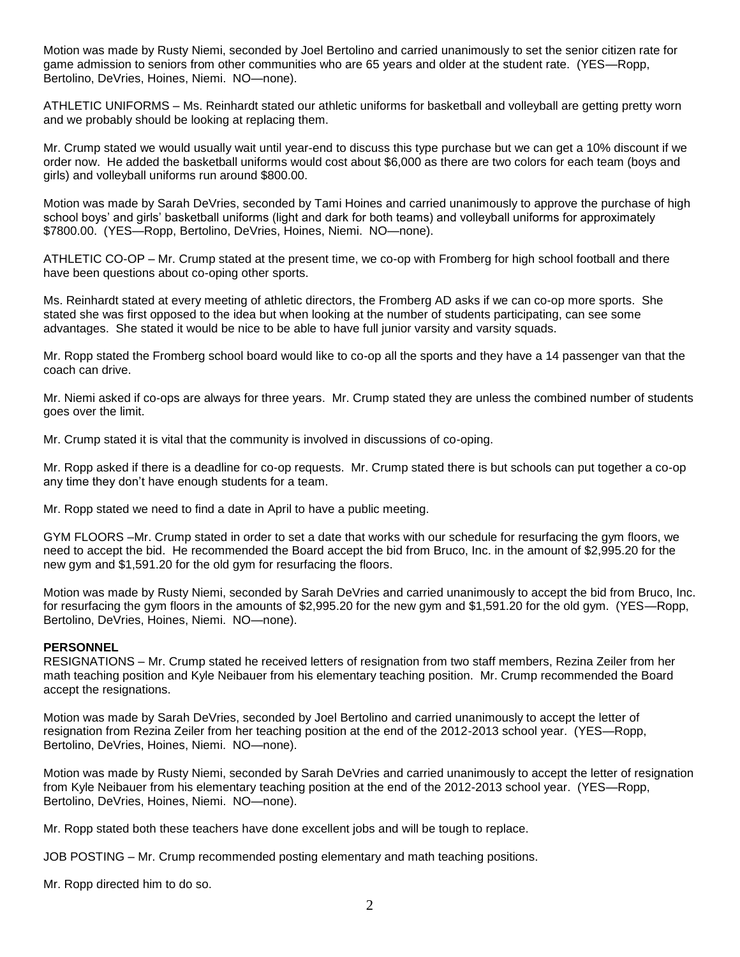Motion was made by Rusty Niemi, seconded by Joel Bertolino and carried unanimously to set the senior citizen rate for game admission to seniors from other communities who are 65 years and older at the student rate. (YES—Ropp, Bertolino, DeVries, Hoines, Niemi. NO—none).

ATHLETIC UNIFORMS – Ms. Reinhardt stated our athletic uniforms for basketball and volleyball are getting pretty worn and we probably should be looking at replacing them.

Mr. Crump stated we would usually wait until year-end to discuss this type purchase but we can get a 10% discount if we order now. He added the basketball uniforms would cost about \$6,000 as there are two colors for each team (boys and girls) and volleyball uniforms run around \$800.00.

Motion was made by Sarah DeVries, seconded by Tami Hoines and carried unanimously to approve the purchase of high school boys' and girls' basketball uniforms (light and dark for both teams) and volleyball uniforms for approximately \$7800.00. (YES—Ropp, Bertolino, DeVries, Hoines, Niemi. NO—none).

ATHLETIC CO-OP – Mr. Crump stated at the present time, we co-op with Fromberg for high school football and there have been questions about co-oping other sports.

Ms. Reinhardt stated at every meeting of athletic directors, the Fromberg AD asks if we can co-op more sports. She stated she was first opposed to the idea but when looking at the number of students participating, can see some advantages. She stated it would be nice to be able to have full junior varsity and varsity squads.

Mr. Ropp stated the Fromberg school board would like to co-op all the sports and they have a 14 passenger van that the coach can drive.

Mr. Niemi asked if co-ops are always for three years. Mr. Crump stated they are unless the combined number of students goes over the limit.

Mr. Crump stated it is vital that the community is involved in discussions of co-oping.

Mr. Ropp asked if there is a deadline for co-op requests. Mr. Crump stated there is but schools can put together a co-op any time they don't have enough students for a team.

Mr. Ropp stated we need to find a date in April to have a public meeting.

GYM FLOORS –Mr. Crump stated in order to set a date that works with our schedule for resurfacing the gym floors, we need to accept the bid. He recommended the Board accept the bid from Bruco, Inc. in the amount of \$2,995.20 for the new gym and \$1,591.20 for the old gym for resurfacing the floors.

Motion was made by Rusty Niemi, seconded by Sarah DeVries and carried unanimously to accept the bid from Bruco, Inc. for resurfacing the gym floors in the amounts of \$2,995.20 for the new gym and \$1,591.20 for the old gym. (YES—Ropp, Bertolino, DeVries, Hoines, Niemi. NO—none).

#### **PERSONNEL**

RESIGNATIONS – Mr. Crump stated he received letters of resignation from two staff members, Rezina Zeiler from her math teaching position and Kyle Neibauer from his elementary teaching position. Mr. Crump recommended the Board accept the resignations.

Motion was made by Sarah DeVries, seconded by Joel Bertolino and carried unanimously to accept the letter of resignation from Rezina Zeiler from her teaching position at the end of the 2012-2013 school year. (YES—Ropp, Bertolino, DeVries, Hoines, Niemi. NO—none).

Motion was made by Rusty Niemi, seconded by Sarah DeVries and carried unanimously to accept the letter of resignation from Kyle Neibauer from his elementary teaching position at the end of the 2012-2013 school year. (YES—Ropp, Bertolino, DeVries, Hoines, Niemi. NO—none).

Mr. Ropp stated both these teachers have done excellent jobs and will be tough to replace.

JOB POSTING – Mr. Crump recommended posting elementary and math teaching positions.

Mr. Ropp directed him to do so.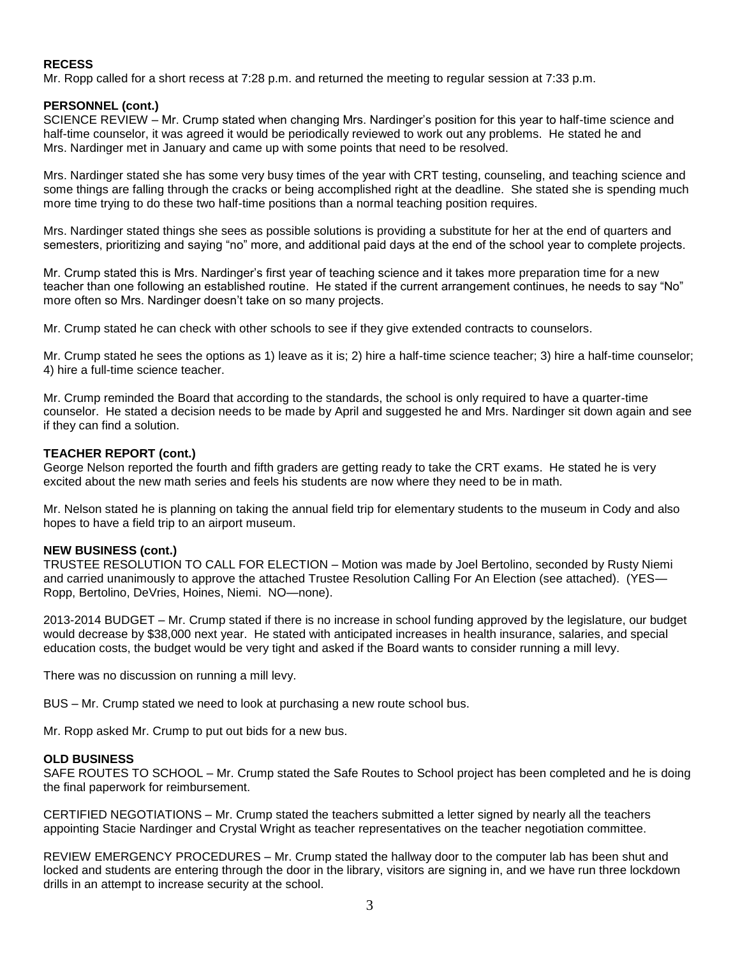#### **RECESS**

Mr. Ropp called for a short recess at 7:28 p.m. and returned the meeting to regular session at 7:33 p.m.

#### **PERSONNEL (cont.)**

SCIENCE REVIEW – Mr. Crump stated when changing Mrs. Nardinger's position for this year to half-time science and half-time counselor, it was agreed it would be periodically reviewed to work out any problems. He stated he and Mrs. Nardinger met in January and came up with some points that need to be resolved.

Mrs. Nardinger stated she has some very busy times of the year with CRT testing, counseling, and teaching science and some things are falling through the cracks or being accomplished right at the deadline. She stated she is spending much more time trying to do these two half-time positions than a normal teaching position requires.

Mrs. Nardinger stated things she sees as possible solutions is providing a substitute for her at the end of quarters and semesters, prioritizing and saying "no" more, and additional paid days at the end of the school year to complete projects.

Mr. Crump stated this is Mrs. Nardinger's first year of teaching science and it takes more preparation time for a new teacher than one following an established routine. He stated if the current arrangement continues, he needs to say "No" more often so Mrs. Nardinger doesn't take on so many projects.

Mr. Crump stated he can check with other schools to see if they give extended contracts to counselors.

Mr. Crump stated he sees the options as 1) leave as it is; 2) hire a half-time science teacher; 3) hire a half-time counselor; 4) hire a full-time science teacher.

Mr. Crump reminded the Board that according to the standards, the school is only required to have a quarter-time counselor. He stated a decision needs to be made by April and suggested he and Mrs. Nardinger sit down again and see if they can find a solution.

#### **TEACHER REPORT (cont.)**

George Nelson reported the fourth and fifth graders are getting ready to take the CRT exams. He stated he is very excited about the new math series and feels his students are now where they need to be in math.

Mr. Nelson stated he is planning on taking the annual field trip for elementary students to the museum in Cody and also hopes to have a field trip to an airport museum.

#### **NEW BUSINESS (cont.)**

TRUSTEE RESOLUTION TO CALL FOR ELECTION – Motion was made by Joel Bertolino, seconded by Rusty Niemi and carried unanimously to approve the attached Trustee Resolution Calling For An Election (see attached). (YES— Ropp, Bertolino, DeVries, Hoines, Niemi. NO—none).

2013-2014 BUDGET – Mr. Crump stated if there is no increase in school funding approved by the legislature, our budget would decrease by \$38,000 next year. He stated with anticipated increases in health insurance, salaries, and special education costs, the budget would be very tight and asked if the Board wants to consider running a mill levy.

There was no discussion on running a mill levy.

BUS – Mr. Crump stated we need to look at purchasing a new route school bus.

Mr. Ropp asked Mr. Crump to put out bids for a new bus.

#### **OLD BUSINESS**

SAFE ROUTES TO SCHOOL – Mr. Crump stated the Safe Routes to School project has been completed and he is doing the final paperwork for reimbursement.

CERTIFIED NEGOTIATIONS – Mr. Crump stated the teachers submitted a letter signed by nearly all the teachers appointing Stacie Nardinger and Crystal Wright as teacher representatives on the teacher negotiation committee.

REVIEW EMERGENCY PROCEDURES – Mr. Crump stated the hallway door to the computer lab has been shut and locked and students are entering through the door in the library, visitors are signing in, and we have run three lockdown drills in an attempt to increase security at the school.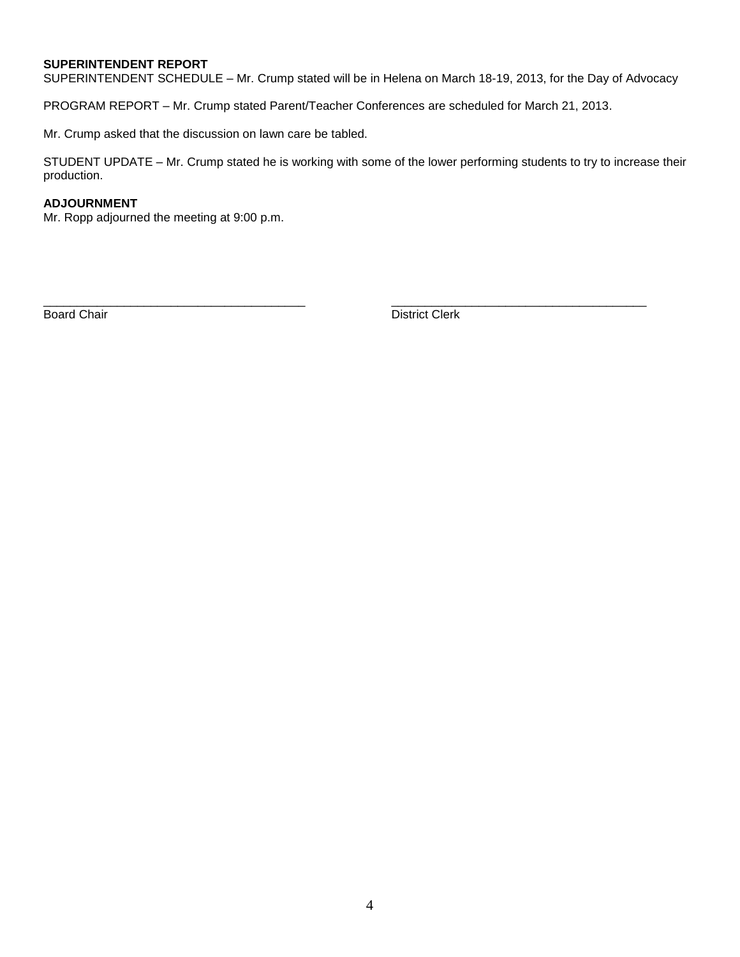### **SUPERINTENDENT REPORT**

SUPERINTENDENT SCHEDULE – Mr. Crump stated will be in Helena on March 18-19, 2013, for the Day of Advocacy

PROGRAM REPORT – Mr. Crump stated Parent/Teacher Conferences are scheduled for March 21, 2013.

Mr. Crump asked that the discussion on lawn care be tabled.

STUDENT UPDATE – Mr. Crump stated he is working with some of the lower performing students to try to increase their production.

\_\_\_\_\_\_\_\_\_\_\_\_\_\_\_\_\_\_\_\_\_\_\_\_\_\_\_\_\_\_\_\_\_\_\_\_\_\_\_ \_\_\_\_\_\_\_\_\_\_\_\_\_\_\_\_\_\_\_\_\_\_\_\_\_\_\_\_\_\_\_\_\_\_\_\_\_\_

#### **ADJOURNMENT**

Mr. Ropp adjourned the meeting at 9:00 p.m.

Board Chair District Clerk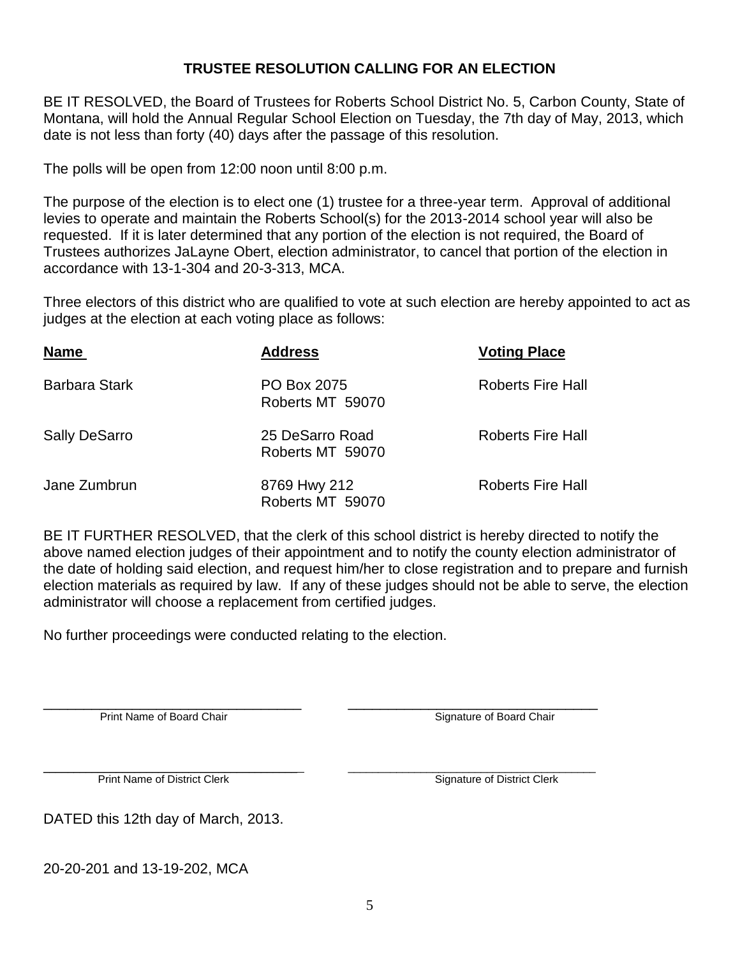## **TRUSTEE RESOLUTION CALLING FOR AN ELECTION**

BE IT RESOLVED, the Board of Trustees for Roberts School District No. 5, Carbon County, State of Montana, will hold the Annual Regular School Election on Tuesday, the 7th day of May, 2013, which date is not less than forty (40) days after the passage of this resolution.

The polls will be open from 12:00 noon until 8:00 p.m.

The purpose of the election is to elect one (1) trustee for a three-year term. Approval of additional levies to operate and maintain the Roberts School(s) for the 2013-2014 school year will also be requested. If it is later determined that any portion of the election is not required, the Board of Trustees authorizes JaLayne Obert, election administrator, to cancel that portion of the election in accordance with 13-1-304 and 20-3-313, MCA.

Three electors of this district who are qualified to vote at such election are hereby appointed to act as judges at the election at each voting place as follows:

| <b>Name</b>          | <b>Address</b>                      | <b>Voting Place</b>      |
|----------------------|-------------------------------------|--------------------------|
| <b>Barbara Stark</b> | PO Box 2075<br>Roberts MT 59070     | <b>Roberts Fire Hall</b> |
| <b>Sally DeSarro</b> | 25 DeSarro Road<br>Roberts MT 59070 | <b>Roberts Fire Hall</b> |
| Jane Zumbrun         | 8769 Hwy 212<br>Roberts MT 59070    | <b>Roberts Fire Hall</b> |

BE IT FURTHER RESOLVED, that the clerk of this school district is hereby directed to notify the above named election judges of their appointment and to notify the county election administrator of the date of holding said election, and request him/her to close registration and to prepare and furnish election materials as required by law. If any of these judges should not be able to serve, the election administrator will choose a replacement from certified judges.

No further proceedings were conducted relating to the election.

\_\_\_\_\_\_\_\_\_\_\_\_\_\_\_\_\_\_\_\_\_\_\_\_\_\_\_\_\_\_\_\_ \_\_\_\_\_\_\_\_\_\_\_\_\_\_\_\_\_\_\_\_\_\_\_\_\_\_\_\_\_\_\_ Print Name of Board Chair Signature of Board Chair Signature of Board Chair

\_\_\_\_\_\_\_\_\_\_\_\_\_\_\_\_\_\_\_\_\_\_\_\_\_\_\_\_\_\_\_\_\_\_\_\_\_\_\_\_\_\_ \_\_\_\_\_\_\_\_\_\_\_\_\_\_\_\_\_\_\_\_\_\_\_\_\_\_\_\_\_\_\_\_\_\_\_\_\_\_\_\_\_ Print Name of District Clerk Signature of District Clerk

DATED this 12th day of March, 2013.

20-20-201 and 13-19-202, MCA